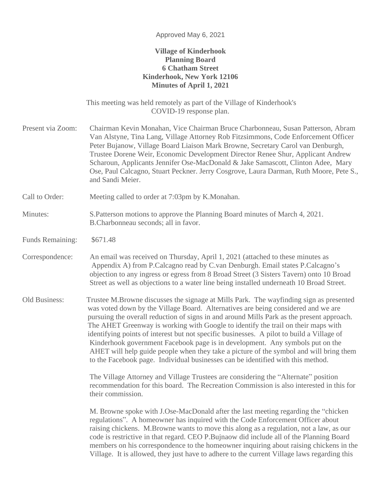#### Approved May 6, 2021

## **Village of Kinderhook Planning Board 6 Chatham Street Kinderhook, New York 12106 Minutes of April 1, 2021**

This meeting was held remotely as part of the Village of Kinderhook's COVID-19 response plan.

Present via Zoom: Chairman Kevin Monahan, Vice Chairman Bruce Charbonneau, Susan Patterson, Abram Van Alstyne, Tina Lang, Village Attorney Rob Fitzsimmons, Code Enforcement Officer Peter Bujanow, Village Board Liaison Mark Browne, Secretary Carol van Denburgh, Trustee Dorene Weir, Economic Development Director Renee Shur, Applicant Andrew Scharoun, Applicants Jennifer Ose-MacDonald & Jake Samascott, Clinton Adee, Mary Ose, Paul Calcagno, Stuart Peckner. Jerry Cosgrove, Laura Darman, Ruth Moore, Pete S., and Sandi Meier.

Call to Order: Meeting called to order at 7:03pm by K.Monahan.

## Minutes: S.Patterson motions to approve the Planning Board minutes of March 4, 2021. B.Charbonneau seconds; all in favor.

Funds Remaining: \$671.48

Correspondence: An email was received on Thursday, April 1, 2021 (attached to these minutes as Appendix A) from P.Calcagno read by C.van Denburgh. Email states P.Calcagno's objection to any ingress or egress from 8 Broad Street (3 Sisters Tavern) onto 10 Broad Street as well as objections to a water line being installed underneath 10 Broad Street.

Old Business: Trustee M.Browne discusses the signage at Mills Park. The wayfinding sign as presented was voted down by the Village Board. Alternatives are being considered and we are pursuing the overall reduction of signs in and around Mills Park as the present approach. The AHET Greenway is working with Google to identify the trail on their maps with identifying points of interest but not specific businesses. A pilot to build a Village of Kinderhook government Facebook page is in development. Any symbols put on the AHET will help guide people when they take a picture of the symbol and will bring them to the Facebook page. Individual businesses can be identified with this method.

> The Village Attorney and Village Trustees are considering the "Alternate" position recommendation for this board. The Recreation Commission is also interested in this for their commission.

> M. Browne spoke with J.Ose-MacDonald after the last meeting regarding the "chicken regulations". A homeowner has inquired with the Code Enforcement Officer about raising chickens. M.Browne wants to move this along as a regulation, not a law, as our code is restrictive in that regard. CEO P.Bujnaow did include all of the Planning Board members on his correspondence to the homeowner inquiring about raising chickens in the Village. It is allowed, they just have to adhere to the current Village laws regarding this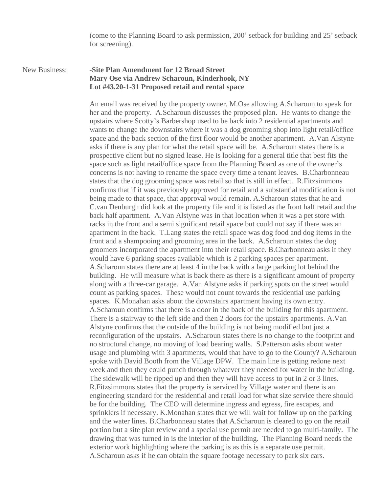(come to the Planning Board to ask permission, 200' setback for building and 25' setback for screening).

New Business: **-Site Plan Amendment for 12 Broad Street Mary Ose via Andrew Scharoun, Kinderhook, NY Lot #43.20-1-31 Proposed retail and rental space**

> An email was received by the property owner, M.Ose allowing A.Scharoun to speak for her and the property. A.Scharoun discusses the proposed plan. He wants to change the upstairs where Scotty's Barbershop used to be back into 2 residential apartments and wants to change the downstairs where it was a dog grooming shop into light retail/office space and the back section of the first floor would be another apartment. A.Van Alstyne asks if there is any plan for what the retail space will be. A.Scharoun states there is a prospective client but no signed lease. He is looking for a general title that best fits the space such as light retail/office space from the Planning Board as one of the owner's concerns is not having to rename the space every time a tenant leaves. B.Charbonneau states that the dog grooming space was retail so that is still in effect. R.Fitzsimmons confirms that if it was previously approved for retail and a substantial modification is not being made to that space, that approval would remain. A.Scharoun states that he and C.van Denburgh did look at the property file and it is listed as the front half retail and the back half apartment. A.Van Alstyne was in that location when it was a pet store with racks in the front and a semi significant retail space but could not say if there was an apartment in the back. T.Lang states the retail space was dog food and dog items in the front and a shampooing and grooming area in the back. A.Scharoun states the dog groomers incorporated the apartment into their retail space. B.Charbonneau asks if they would have 6 parking spaces available which is 2 parking spaces per apartment. A.Scharoun states there are at least 4 in the back with a large parking lot behind the building. He will measure what is back there as there is a significant amount of property along with a three-car garage. A.Van Alstyne asks if parking spots on the street would count as parking spaces. These would not count towards the residential use parking spaces. K.Monahan asks about the downstairs apartment having its own entry. A.Scharoun confirms that there is a door in the back of the building for this apartment. There is a stairway to the left side and then 2 doors for the upstairs apartments. A.Van Alstyne confirms that the outside of the building is not being modified but just a reconfiguration of the upstairs. A.Scharoun states there is no change to the footprint and no structural change, no moving of load bearing walls. S.Patterson asks about water usage and plumbing with 3 apartments, would that have to go to the County? A.Scharoun spoke with David Booth from the Village DPW. The main line is getting redone next week and then they could punch through whatever they needed for water in the building. The sidewalk will be ripped up and then they will have access to put in 2 or 3 lines. R.Fitzsimmons states that the property is serviced by Village water and there is an engineering standard for the residential and retail load for what size service there should be for the building. The CEO will determine ingress and egress, fire escapes, and sprinklers if necessary. K.Monahan states that we will wait for follow up on the parking and the water lines. B.Charbonneau states that A.Scharoun is cleared to go on the retail portion but a site plan review and a special use permit are needed to go multi-family. The drawing that was turned in is the interior of the building. The Planning Board needs the exterior work highlighting where the parking is as this is a separate use permit. A.Scharoun asks if he can obtain the square footage necessary to park six cars.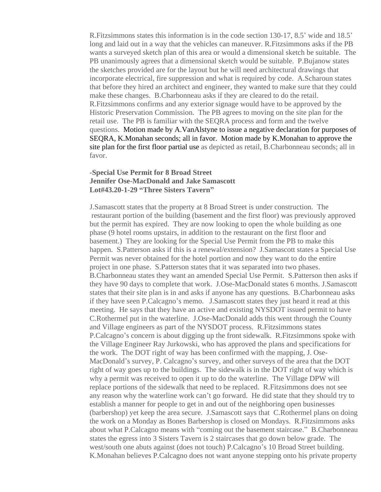R.Fitzsimmons states this information is in the code section 130-17, 8.5' wide and 18.5' long and laid out in a way that the vehicles can maneuver. R.Fitzsimmons asks if the PB wants a surveyed sketch plan of this area or would a dimensional sketch be suitable. The PB unanimously agrees that a dimensional sketch would be suitable. P.Bujanow states the sketches provided are for the layout but he will need architectural drawings that incorporate electrical, fire suppression and what is required by code. A.Scharoun states that before they hired an architect and engineer, they wanted to make sure that they could make these changes. B.Charbonneau asks if they are cleared to do the retail. R.Fitzsimmons confirms and any exterior signage would have to be approved by the Historic Preservation Commission. The PB agrees to moving on the site plan for the retail use. The PB is familiar with the SEQRA process and form and the twelve questions. Motion made by A.VanAlstyne to issue a negative declaration for purposes of SEQRA, K.Monahan seconds; all in favor. Motion made by K.Monahan to approve the site plan for the first floor partial use as depicted as retail, B.Charbonneau seconds; all in favor.

### **-Special Use Permit for 8 Broad Street Jennifer Ose-MacDonald and Jake Samascott Lot#43.20-1-29 "Three Sisters Tavern"**

J.Samascott states that the property at 8 Broad Street is under construction. The restaurant portion of the building (basement and the first floor) was previously approved but the permit has expired. They are now looking to open the whole building as one phase (9 hotel rooms upstairs, in addition to the restaurant on the first floor and basement.) They are looking for the Special Use Permit from the PB to make this happen. S.Patterson asks if this is a renewal/extension? J.Samascott states a Special Use Permit was never obtained for the hotel portion and now they want to do the entire project in one phase. S.Patterson states that it was separated into two phases. B.Charbonneau states they want an amended Special Use Permit. S.Patterson then asks if they have 90 days to complete that work. J.Ose-MacDonald states 6 months. J.Samascott states that their site plan is in and asks if anyone has any questions. B.Charbonneau asks if they have seen P.Calcagno's memo. J.Samascott states they just heard it read at this meeting. He says that they have an active and existing NYSDOT issued permit to have C.Rothermel put in the waterline. J.Ose-MacDonald adds this went through the County and Village engineers as part of the NYSDOT process. R.Fitzsimmons states P.Calcagno's concern is about digging up the front sidewalk. R.Fitzsimmons spoke with the Village Engineer Ray Jurkowski, who has approved the plans and specifications for the work. The DOT right of way has been confirmed with the mapping, J. Ose-MacDonald's survey, P. Calcagno's survey, and other surveys of the area that the DOT right of way goes up to the buildings. The sidewalk is in the DOT right of way which is why a permit was received to open it up to do the waterline. The Village DPW will replace portions of the sidewalk that need to be replaced. R.Fitzsimmons does not see any reason why the waterline work can't go forward. He did state that they should try to establish a manner for people to get in and out of the neighboring open businesses (barbershop) yet keep the area secure. J.Samascott says that C.Rothermel plans on doing the work on a Monday as Bones Barbershop is closed on Mondays. R.Fitzsimmons asks about what P.Calcagno means with "coming out the basement staircase." B.Charbonneau states the egress into 3 Sisters Tavern is 2 staircases that go down below grade. The west/south one abuts against (does not touch) P.Calcagno's 10 Broad Street building. K.Monahan believes P.Calcagno does not want anyone stepping onto his private property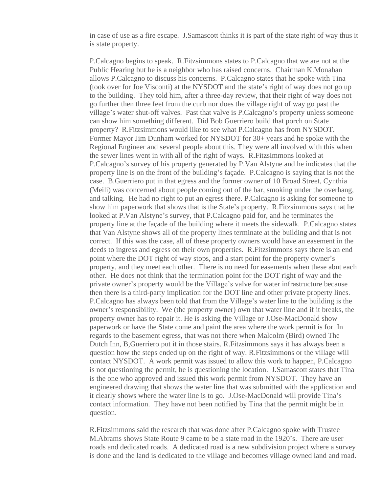in case of use as a fire escape. J.Samascott thinks it is part of the state right of way thus it is state property.

P.Calcagno begins to speak. R.Fitzsimmons states to P.Calcagno that we are not at the Public Hearing but he is a neighbor who has raised concerns. Chairman K.Monahan allows P.Calcagno to discuss his concerns. P.Calcagno states that he spoke with Tina (took over for Joe Visconti) at the NYSDOT and the state's right of way does not go up to the building. They told him, after a three-day review, that their right of way does not go further then three feet from the curb nor does the village right of way go past the village's water shut-off valves. Past that valve is P.Calcagno's property unless someone can show him something different. Did Bob Guerriero build that porch on State property? R.Fitzsimmons would like to see what P.Calcagno has from NYSDOT. Former Mayor Jim Dunham worked for NYSDOT for 30+ years and he spoke with the Regional Engineer and several people about this. They were all involved with this when the sewer lines went in with all of the right of ways. R.Fitzsimmons looked at P.Calcagno's survey of his property generated by P.Van Alstyne and he indicates that the property line is on the front of the building's façade. P.Calcagno is saying that is not the case. B.Guerriero put in that egress and the former owner of 10 Broad Street, Cynthia (Meili) was concerned about people coming out of the bar, smoking under the overhang, and talking. He had no right to put an egress there. P.Calcagno is asking for someone to show him paperwork that shows that is the State's property. R.Fitzsimmons says that he looked at P.Van Alstyne's survey, that P.Calcagno paid for, and he terminates the property line at the façade of the building where it meets the sidewalk. P.Calcagno states that Van Alstyne shows all of the property lines terminate at the building and that is not correct. If this was the case, all of these property owners would have an easement in the deeds to ingress and egress on their own properties. R.Fitzsimmons says there is an end point where the DOT right of way stops, and a start point for the property owner's property, and they meet each other. There is no need for easements when these abut each other. He does not think that the termination point for the DOT right of way and the private owner's property would be the Village's valve for water infrastructure because then there is a third-party implication for the DOT line and other private property lines. P.Calcagno has always been told that from the Village's water line to the building is the owner's responsibility. We (the property owner) own that water line and if it breaks, the property owner has to repair it. He is asking the Village or J.Ose-MacDonald show paperwork or have the State come and paint the area where the work permit is for. In regards to the basement egress, that was not there when Malcolm (Bird) owned The Dutch Inn, B,Guerriero put it in those stairs. R.Fitzsimmons says it has always been a question how the steps ended up on the right of way. R.Fitzsimmons or the village will contact NYSDOT. A work permit was issued to allow this work to happen, P.Calcagno is not questioning the permit, he is questioning the location. J.Samascott states that Tina is the one who approved and issued this work permit from NYSDOT. They have an engineered drawing that shows the water line that was submitted with the application and it clearly shows where the water line is to go. J.Ose-MacDonald will provide Tina's contact information. They have not been notified by Tina that the permit might be in question.

R.Fitzsimmons said the research that was done after P.Calcagno spoke with Trustee M.Abrams shows State Route 9 came to be a state road in the 1920's. There are user roads and dedicated roads. A dedicated road is a new subdivision project where a survey is done and the land is dedicated to the village and becomes village owned land and road.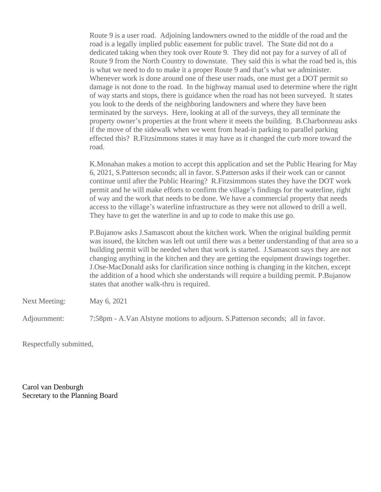Route 9 is a user road. Adjoining landowners owned to the middle of the road and the road is a legally implied public easement for public travel. The State did not do a dedicated taking when they took over Route 9. They did not pay for a survey of all of Route 9 from the North Country to downstate. They said this is what the road bed is, this is what we need to do to make it a proper Route 9 and that's what we administer. Whenever work is done around one of these user roads, one must get a DOT permit so damage is not done to the road. In the highway manual used to determine where the right of way starts and stops, there is guidance when the road has not been surveyed. It states you look to the deeds of the neighboring landowners and where they have been terminated by the surveys. Here, looking at all of the surveys, they all terminate the property owner's properties at the front where it meets the building. B.Charbonneau asks if the move of the sidewalk when we went from head-in parking to parallel parking effected this? R.Fitzsimmons states it may have as it changed the curb more toward the road.

K.Monahan makes a motion to accept this application and set the Public Hearing for May 6, 2021, S.Patterson seconds; all in favor. S.Patterson asks if their work can or cannot continue until after the Public Hearing? R.Fitzsimmons states they have the DOT work permit and he will make efforts to confirm the village's findings for the waterline, right of way and the work that needs to be done. We have a commercial property that needs access to the village's waterline infrastructure as they were not allowed to drill a well. They have to get the waterline in and up to code to make this use go.

P.Bujanow asks J.Samascott about the kitchen work. When the original building permit was issued, the kitchen was left out until there was a better understanding of that area so a building permit will be needed when that work is started. J.Samascott says they are not changing anything in the kitchen and they are getting the equipment drawings together. J.Ose-MacDonald asks for clarification since nothing is changing in the kitchen, except the addition of a hood which she understands will require a building permit. P.Bujanow states that another walk-thru is required.

Next Meeting: May 6, 2021

Adjournment: 7:58pm - A.Van Alstyne motions to adjourn. S.Patterson seconds; all in favor.

Respectfully submitted,

Carol van Denburgh Secretary to the Planning Board